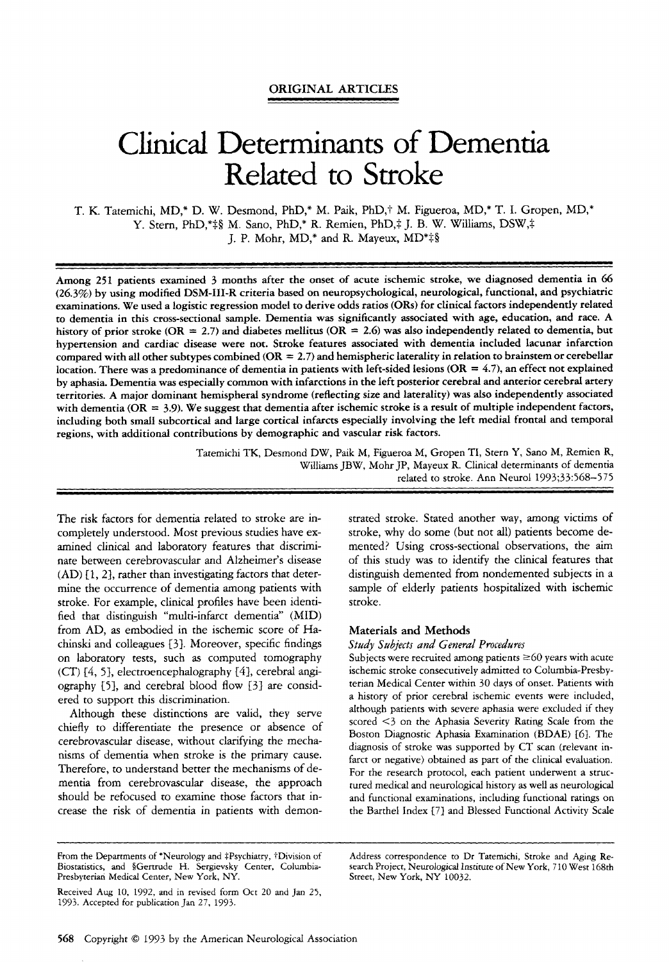## **ORIGINAL ARTICLES**

# Clinical Determinants of Dementia Related to Stroke

T. K. Tatemichi, MD,\* D. W. Desmond, PhD,\* M. Paik, PhD,† M. Figueroa, MD,\* T. I. Gropen, MD,\* Y. Stern, PhD,\* $\frac{1}{2}$ § M. Sano, PhD,\* R. Remien, PhD, $\frac{1}{4}$  J. B. W. Williams, DSW, $\frac{1}{4}$ J. P. Mohr, MD,\* and R. Mayeux, MD\*‡§

~~~~ ~

Among **251** patients examined *3* months after the onset of acute ischemic stroke, we diagnosed dementia in 66 **(26.3%)** by using modified **DSM-111-R** criteria based on neuropsychological, neurological, functional, and psychiatric examinations. We used a logistic regression model to derive odds ratios **(ORs)** for clinical factors independently related to dementia in this cross-sectional sample. Dementia was significantly associated with age, education, and race. A history of prior stroke  $(OR = 2.7)$  and diabetes mellitus  $(OR = 2.6)$  was also independently related to dementia, but hypertension and cardiac disease were not. Stroke features associated with dementia included lacunar infarction compared with all other subtypes combined **(OR** = **2.7)** and hemispheric laterality in relation to brainstem or cerebellar location. There **was** a predominance of dementia in patients with left-sided lesions **(OR** = *4.7),* an effect not explained by aphasia. Dementia was especially common with infarctions in the left posterior cerebral and anterior cerebral artery territories. A major dominant hemispheral syndrome (reflecting size and laterality) was **also** independently associated with dementia ( $OR = 3.9$ ). We suggest that dementia after ischemic stroke is a result of multiple independent factors, including both small subcortical and large cortical infarcts especially involving the left medial frontal and temporal regions, with additional contributions by demographic and vascular risk factors.

> Tatemichi TK, Desmond DW, Paik M, Figueroa M, Gropen TI, Stern Y, Sano M, Remien R, Williams JBW, Mohr JP, Mayeux R. Clinical determinants of dementia related to stroke. Ann Neurol 1993;33:568-575

The risk factors for dementia related to stroke are incompletely understood. Most previous studies have examined clinical and laboratory features that discriminate between cerebrovascular and Alzheimer's disease  $(AD)$   $[1, 2]$ , rather than investigating factors that determine the occurrence of dementia among patients with stroke. For example, clinical profiles have been identified that distinguish "multi-infarct dementia" (MID) from AD, **as** embodied in the ischemic score of Hachinski and colleagues [3]. Moreover, specific findings on laboratory tests, such **as** computed tomography (CT) *[4,* 53, electroencephalography *141,* cerebral angiography  $[5]$ , and cerebral blood flow  $[3]$  are considered to support this discrimination.

Although these distinctions are valid, they serve chiefly to differentiate the presence or absence of cerebrovascular disease, without clarifying the mechanisms of dementia when stroke is the primary cause. Therefore, to understand better the mechanisms of dementia from cerebrovascular disease, the approach should be refocused to examine those factors that increase the risk of dementia in patients with demonstrated stroke. Stated another way, among victims of stroke, why do some (but not all) patients become demented? Using cross-sectional observations, the aim of this study was to identify the clinical features that distinguish demented from nondemented subjects in a sample of elderly patients hospitalized with ischemic stroke.

## **Materials and Methods**

*Study Subjects and General Procedures* 

Subjects were recruited among patients  $\geq 60$  years with acute ischemic stroke consecutively admitted to Columbia-Presbyterian Medical Center within 30 days of onset. Patients with a history of prior cerebral ischemic events were included, although patients with severe aphasia were excluded if they scored <3 on the Aphasia Severity Rating Scale from the Boston Diagnostic Aphasia Examination (BDAE) [6]. The diagnosis of stroke was supported by CT scan (relevant infarct or negative) obtained as part of the clinical evaluation. For the research protocol, each patient underwent a structured medical and neurological history as well **as** neurological and functional examinations, including functional ratings on the Barthel Index [7] and Blessed Functional Activity Scale

Presbyterian Medical Center, New York, NY. Street, New York, NY 10032.

Received Aug 10, 1992, and in revised form Oct 20 and Jan 25, 1993. Accepted for publication Jan 27, 1993.

From the Departments of \*Neurology and ‡Psychiatry, †Division of Address correspondence to Dr Tatemichi, Stroke and Aging Re-<br>Biostatistics, and §Gertrude H. Sergievsky Center, Columbia- search Project, Neurological Instit search Project, Neurological Institute of New York, 710 West 168th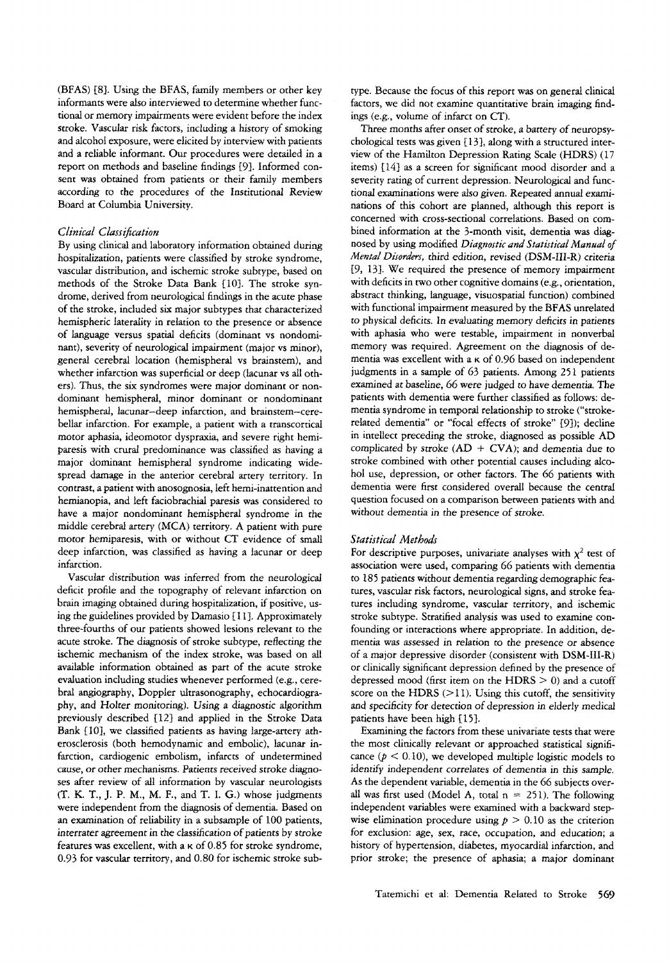(BFAS) [8]. Using the BFAS, family members or other key informants were also interviewed to determine whether functional or memory impairments were evident before the index stroke. Vascular risk factors, including a history of smoking and alcohol exposure, were elicited by interview with patients and a reliable informant. Our procedures were detailed in a report on methods and baseline findings [9]. Informed consent was obtained from patients or their family members according to the procedures of the Institutional Review Board at Columbia University.

## *Clinical Classification*

By using clinical and laboratory information obtained during hospitalization, patients were classified by stroke syndrome, vascular distribution, and ischemic stroke subtype, based on methods of the Stroke Data Bank [lo}. The stroke syndrome, derived from neurological findings in the acute phase of the stroke, included *six* major subtypes that characterized hemispheric laterality in relation to the presence or absence of language versus spatial deficits (dominant vs nondominant), severity of neurological impairment (major vs minor), general cerebral location (hemispheral vs brainstem), and whether infarction was superficial or deep (lacunar vs all others). Thus, the *six* syndromes were major dominant or nondominant hemispheral, minor dominant or nondominant hemispheral, lacunar-deep infarction, and brainstem-cerebellar infarction. For example, a patient with a transcortical motor aphasia, ideomotor dyspraxia, and severe right hemiparesis with crural predominance was classified as having a major dominant hemispheral syndrome indicating widespread damage in the anterior cerebral artery territory. In contrast, a patient with anosognosia, left hemi-inattention and hemianopia, and left faciobrachial paresis was considered to have a major nondominant hemispheral syndrome in the middle cerebral artery (MCA) territory. A patient with pure motor hemiparesis, with or without CT evidence of small deep infarction, was classified as having a lacunar or deep infarction.

Vascular distribution was inferred from the neurological deficit profile and the topography of relevant infarction on brain imaging obtained during hospitalization, if positive, **us**ing the guidelines provided by Damasio [ 1 11. Approximately three-fourths of our patients showed lesions relevant to the acute stroke. The diagnosis of stroke subtype, reflecting the ischemic mechanism of the index stroke, was based on all available information obtained as part of the acute stroke evaluation including studies whenever performed (e.g., cerebral angiography, Doppler ultrasonography, echocardiography, and Holter monitoring). Using a diagnostic algorithm previously described [12] and applied in the Stroke Data Bank [lo], we classified patients as having large-artery atherosclerosis (both hernodynamic and embolic), lacunar infarction, cardiogenic embolism, infarcts of undetermined cause, or other mechanisms. Patients received stroke diagnoses after review of all information by vascular neurologists **(T.** K. T., J. P. M., **M.** F., and T. I. *G.)* whose judgments were independent from the diagnosis of dementia. Based on an examination of reliability in a subsample of 100 patients, interrater agreement in the classification of patients by stroke features was excellent, with a **K** of *0.85* for stroke syndrome, 0.93 for vascular territory, and 0.80 for ischemic stroke subtype. Because the focus of this report was on general clinical factors, we did not examine quantitative brain imaging findings (e.g., volume of infarct on CT).

Three months after onset of stroke, a battery of neuropsychological tests was given { 131, along with a structured interview of the Hamilton Depression Rating Scale (HDRS) (17 items) *1141* as a screen for significant mood disorder and a severity rating of current depression. Neurological and functional examinations were also given. Repeated annual examinations of this cohort are planned, although this report is concerned with cross-sectional correlations. Based on combined information at the 3-month visit, dementia was diagnosed by using modified *Diagnostic and Statistical Manual* of *Mental Disorders,* third edition, revised (DSM-111-R) criteria [9, 131. We required the presence of memory impairment with deficits in *two* other cognitive domains (e.g., orientation, abstract thinking, language, visuospatial function) combined with functional impairment measured by the BFAS unrelated to physical deficits. In evaluating memory deficits in patients with aphasia who were testable, impairment in nonverbal memory was required. Agreement on the diagnosis of dementia was excellent with a **K** of 0.96 based on independent judgments in a sample of 63 patients. Among 251 patients examined at baseline, 66 were judged to have dementia. The patients with dementia were further classified as follows: dementia syndrome in temporal relationship to stroke ("strokerelated dementia" or "focal effects of stroke" {9]); decline in intellect preceding the stroke, diagnosed **as** possible AD complicated by stroke  $(AD + CVA)$ ; and dementia due to stroke combined with other potential causes including alcohol use, depression, or other factors. The 66 patients with dementia were first considered overall because the central question focused on a comparison between patients with and without dementia in the presence of stroke.

## *Statistical Methods*

For descriptive purposes, univariate analyses with  $\chi^2$  test of association were used, comparing 66 patients with dementia to 185 patients without dementia regarding demographic features, vascular risk factors, neurological signs, and stroke features including syndrome, vascular territory, and ischemic stroke subtype. Stratified analysis was used to examine confounding or interactions where appropriate. In addition, dementia was assessed in relation to the presence or absence of a major depressive disorder (consistent with DSM-111-R) or clinically significant depression defined by the presence of depressed mood (first item on the HDRS  $> 0$ ) and a cutoff score on the HDRS  $(>11)$ . Using this cutoff, the sensitivity and specificity for detection of depression in elderly medical patients have been high [15].

Examining the factors from these univariate tests that were the most clinically relevant or approached statistical significance  $(p < 0.10)$ , we developed multiple logistic models to identify independent correlates of dementia in this **sample.**  As the dependent variable, dementia in the 66 subjects overall was first used (Model A, total  $n = 251$ ). The following independent variables were examined with a backward stepwise elimination procedure using  $p > 0.10$  as the criterion for exclusion: age, sex, race, occupation, and education; a history of hypertension, diabetes, myocardial infarction, and prior stroke; the presence of aphasia; a major dominant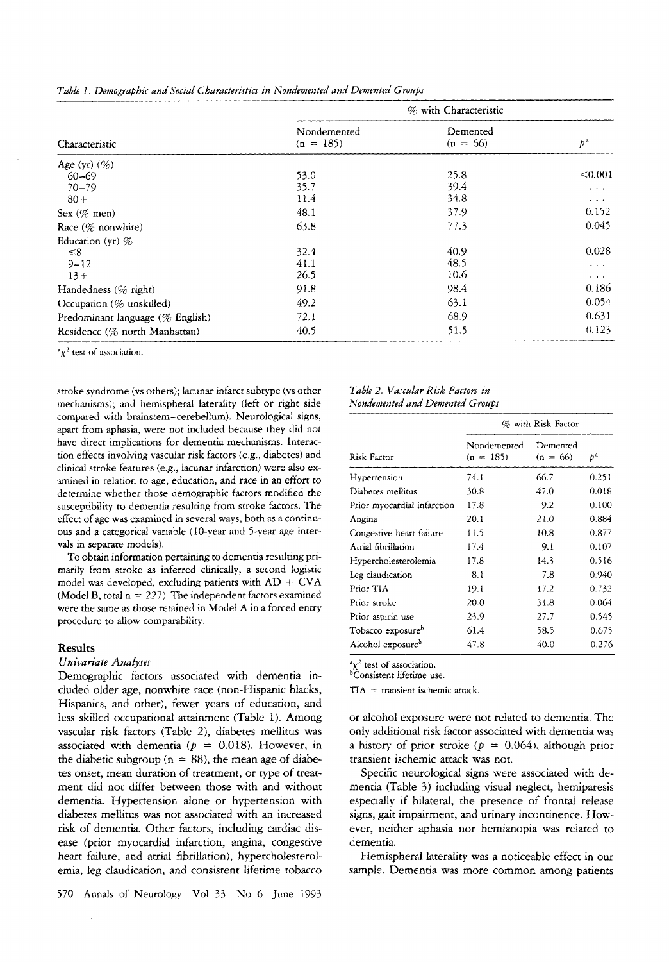|  |  |  | Table 1. Demographic and Social Characteristics in Nondemented and Demented Groups |  |  |  |  |  |
|--|--|--|------------------------------------------------------------------------------------|--|--|--|--|--|
|--|--|--|------------------------------------------------------------------------------------|--|--|--|--|--|

|                                  | % with Characteristic      |                        |                                    |  |
|----------------------------------|----------------------------|------------------------|------------------------------------|--|
| Characteristic                   | Nondemented<br>$(n = 185)$ | Demented<br>$(n = 66)$ | $p^{\rm a}$                        |  |
| Age (yr) $(\%)$                  |                            |                        |                                    |  |
| $60 - 69$                        | 53.0                       | 25.8                   | < 0.001                            |  |
| $70 - 79$                        | 35.7                       | 39.4                   | $\alpha$ , $\alpha$ , $\alpha$     |  |
| $80 +$                           | 11.4                       | 34.8                   | $\sim 100$ km s $^{-1}$            |  |
| Sex $(\%$ men)                   | 48.1                       | 37.9                   | 0.152                              |  |
| Race $(\%$ nonwhite)             | 63.8                       | 77.3                   | 0.045                              |  |
| Education (yr) $%$               |                            |                        |                                    |  |
| $\leq 8$                         | 32.4                       | 40.9                   | 0.028                              |  |
| $9 - 12$                         | 41.1                       | 48.5                   | $\sim$ $\sim$ $\sim$               |  |
| $13+$                            | 26.5                       | 10.6                   | $\mathbf{r}=\mathbf{r}+\mathbf{r}$ |  |
| Handedness (% right)             | 91.8                       | 98.4                   | 0.186                              |  |
| Occupation (% unskilled)         | 49.2                       | 63.1                   | 0.054                              |  |
| Predominant language (% English) | 72.1                       | 68.9                   | 0.631                              |  |
| Residence (% north Manhattan)    | 40.5                       | 51.5                   | 0.123                              |  |

 $\alpha \chi^2$  test of association.

stroke syndrome (vs others); lacunar infarct subtype **(vs** other mechanisms); and hemispheral Iaterality (left or right side compared with brainstem-cerebellum). Neurological signs, apart from aphasia, were not included because they did not have direct implications for dementia mechanisms. Interaction effects involving vascular risk factors (e.g., diabetes) and clinical stroke features (e.g., lacunar infarction) were also examined in relation to age, education, and race in an effort to determine whether those demographic factors modified the susceptibility *to* dementia resulting from stroke factors. The effect of age was examined in several ways, both as a continuous and a categorical variable ( 10-year and 5-year age intervals in separate models).

To obtain information pertaining to dementia resulting primarily from stroke as inferred clinically, a second logistic model was developed, excluding patients with  $AD + CVA$ (Model B, total  $n = 227$ ). The independent factors examined were the same as those retained in Model **A** in a forced entry procedure to allow comparability.

## **Results**

## *Univariate Analyses*

Demographic factors associated with dementia included older age, nonwhite race (non-Hispanic blacks, Hispanics, and other), fewer years of education, and less skilled occupational attainment (Table 1). Among vascular risk factors (Table 2), diabetes mellitus was associated with dementia ( $p = 0.018$ ). However, in the diabetic subgroup ( $n = 88$ ), the mean age of diabetes onset, mean duration of treatment, or type of treatment did not differ between those with and without dementia. Hypertension alone or hypertension with diabetes mellitus **was** not associated with an increased risk of dementia. Other factors, including cardiac disease (prior myocardial infarction, angina, congestive heart failure, and atrial fibrillation), hypercholesterolemia, leg claudication, and consistent lifetime tobacco

#### *Table 2. Vascular Risk Factors in Nonakmented and Demented Groups*

|                               | % with Risk Factor         |                        |              |  |  |
|-------------------------------|----------------------------|------------------------|--------------|--|--|
| Risk Factor                   | Nondemented<br>$(n = 185)$ | Demented<br>$(n = 66)$ | $p^{\alpha}$ |  |  |
| Hypertension                  | 74.1                       | 66.7                   | 0.251        |  |  |
| Diabetes mellitus             | 30.8                       | 47.0                   | 0.018        |  |  |
| Prior myocardial infarction   | 17.8                       | 9.2                    | 0.100        |  |  |
| Angina                        | 20.1                       | 21.0                   | 0.884        |  |  |
| Congestive heart failure      | 11.5                       | 10.8                   | 0.877        |  |  |
| Atrial fibrillation           | 17.4                       | 9.1                    | 0.107        |  |  |
| Hypercholesterolemia          | 17.8                       | 14.3                   | 0.516        |  |  |
| Leg claudication              | 8.1                        | 7.8                    | 0.940        |  |  |
| Prior TIA                     | 19.1                       | 17.2                   | 0.732        |  |  |
| Prior stroke                  | 20.0                       | 31.8                   | 0.064        |  |  |
| Prior aspirin use             | 23.9                       | 27.7                   | 0.545        |  |  |
| Tobacco exposure <sup>b</sup> | 61.4                       | 58.5                   | 0.675        |  |  |
| Alcohol exposure <sup>b</sup> | 47.8                       | 40.0                   | 0.276        |  |  |

 $x^2$  test of association.

bConsistent lifetime use.

 $TIA =$  transient ischemic attack.

or alcohol exposure were not related to dementia. The only additional **risk** factor associated with dementia was a history of prior stroke  $(p = 0.064)$ , although prior transient ischemic attack **was** not.

Specific neurological signs were associated with dementia (Table 3) including visual neglect, hemiparesis especially if bilateral, the presence of frontal release signs, gait impairment, and urinary incontinence. However, neither aphasia nor hemianopia was related to dementia.

Hemispherai laterality was a noticeable effect in our sample. Dementia was more common among patients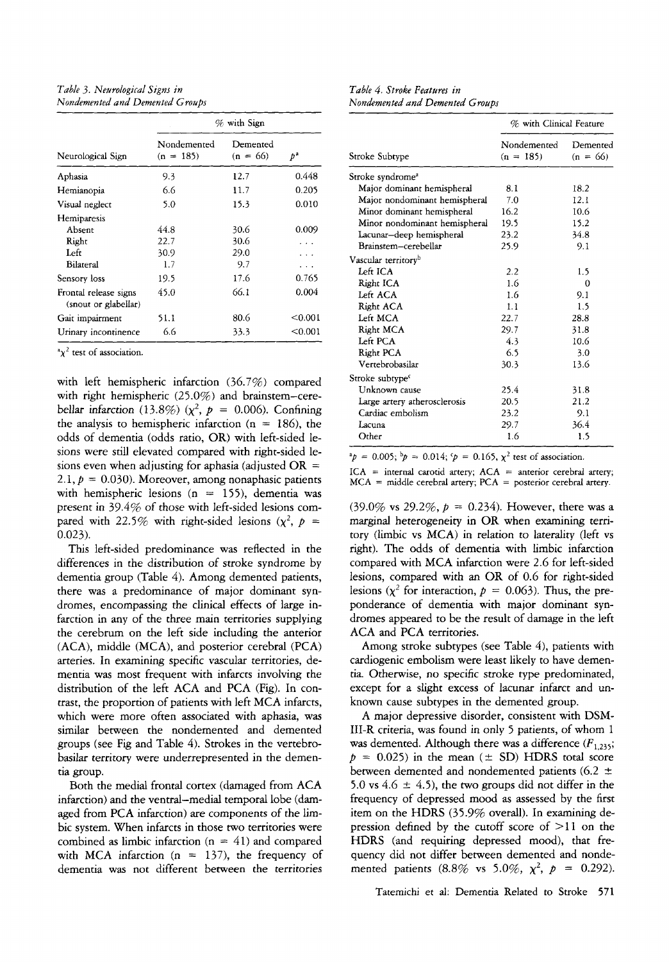*Table 3. Neurological Signs in Nondemented and Demented Groups* 

|                                               | $%$ with Sign              |                        |            |                                              |  |
|-----------------------------------------------|----------------------------|------------------------|------------|----------------------------------------------|--|
| Neurological Sign                             | Nondemented<br>$(n = 185)$ | Demented<br>$(n = 66)$ | $p^a$      | Stroke Subtype                               |  |
| Aphasia                                       | 9.3                        | 12.7                   | 0.448      | Stroke syndrom                               |  |
| Hemianopia                                    | 6.6                        | 11.7                   | 0.205      | Major domina                                 |  |
| Visual neglect                                | 5.0                        | 15.3                   | 0.010      | Major nondor<br>Minor domina                 |  |
| Hemiparesis<br>Absent<br>Right                | 44.8<br>22.7               | 30.6<br>30.6           | 0.009<br>. | Minor nondor<br>Lacunar-deep<br>Brainstem-ce |  |
| Left<br>Bilateral                             | 30.9<br>1.7                | 29.0<br>9.7            | .<br>.     | Vascular territor                            |  |
| Sensory loss                                  | 19.5                       | 17.6                   | 0.765      | Left ICA<br>Right ICA                        |  |
| Frontal release signs<br>(snout or glabellar) | 45.0                       | 66.1                   | 0.004      | Left ACA<br>Right ACA                        |  |
| Gait impairment                               | 51.1                       | 80.6                   | < 0.001    | Left MCA                                     |  |
| Urinary incontinence                          | 6.6                        | 33.3                   | $0.001$    | Right MCA<br>$T_{\alpha}$ for $\Delta$       |  |

 $\alpha \chi^2$  test of association.

with left hemispheric infarction *(36.7%)* compared with right hemispheric *(25.0%)* and brainstem-cerebellar infarction (13.8%) ( $\chi^2$ ,  $p = 0.006$ ). Confining the analysis to hemispheric infarction ( $n = 186$ ), the odds of dementia (odds ratio, OR) with left-sided lesions were still elevated compared with right-sided lesions even when adjusting for aphasia (adjusted  $OR =$ 2.1,  $p = 0.030$ ). Moreover, among nonaphasic patients with hemispheric lesions (n = *155),* dementia was present in *39.4%* of those with left-sided lesions compared with 22.5% with right-sided lesions  $(x^2, p =$ *0.023).* 

This left-sided predominance was reflected in the differences in the distribution of stroke syndrome by dementia group (Table *4).* Among demented patients, there was a predominance of major dominant syndromes, encompassing the clinical effects of large infarction in any of the three main territories supplying the cerebrum on the left side including the anterior (ACA), middle (MCA), and posterior cerebral (PCA) arteries. In examining specific vascular territories, dementia was most frequent with infarcts involving the distribution of the left ACA and PCA (Fig). In contrast, the proportion of patients with left MCA infarcts, which were more often associated with aphasia, was similar between the nondemented and demented groups (see Fig and Table *4).* Strokes in the vertebrobasilar territory were underrepresented in the dementia group.

Both the medial frontal cortex (damaged from ACA infarction) and the ventral-medial temporal lobe (damaged from PCA infarction) are components of the limbic system. When infarcts in those two territories were combined as limbic infarction (n = *41)* and compared with MCA infarction  $(n = 137)$ , the frequency of dementia was not different between the territories

*Table 4. Stroke Features in Nondemented and Demented Groups* 

| $\%$ with Sign           |                       |                                                             | % with Clinical Feature    |                        |
|--------------------------|-----------------------|-------------------------------------------------------------|----------------------------|------------------------|
| Demented<br>$(n = 66)$   | $p^a$                 | Stroke Subtvpe                                              | Nondemented<br>$(n = 185)$ | Demented<br>$(n = 66)$ |
| 12.7                     | 0.448                 | Stroke syndrome <sup>2</sup>                                |                            |                        |
| 11.7                     | 0.205                 | Major dominant hemispheral                                  | 8.1                        | 18.2                   |
| 15.3                     | 0.010                 | Major nondominant hemispheral<br>Minor dominant hemispheral | 7.0<br>16.2                | 12.1<br>10.6           |
|                          |                       | Minor nondominant hemispheral                               | 19.5                       | 15.2                   |
| 30.6                     | 0.009                 | Lacunar-deep hemispheral                                    | 23.2                       | 34.8                   |
| 30.6                     | .                     | Brainstem-cerebellar                                        | 25.9                       | 9.1                    |
| 29.0                     |                       | Vascular territory <sup>b</sup>                             |                            |                        |
| 9.7                      | .                     | Left ICA                                                    | 2.2                        | 1.5                    |
| 17.6                     | 0.765                 | Right ICA                                                   | 1.6                        | $\Omega$               |
| 66.1                     | 0.004                 | Left ACA                                                    | 1.6                        | 9.1                    |
|                          |                       | Right ACA                                                   | 1.1                        | 1.5                    |
| 80.6                     | < 0.001               | Left MCA                                                    | 22.7                       | 28.8                   |
| 33.3                     | < 0.001               | Right MCA                                                   | 29.7                       | 31.8                   |
|                          |                       | Left PCA                                                    | 4.3                        | 10.6                   |
|                          |                       | Right PCA                                                   | 6.5                        | 3.0                    |
|                          |                       | Vertebrobasilar                                             | 30.3                       | 13.6                   |
| n (36.7%) compared       |                       | Stroke subtype <sup>c</sup>                                 |                            |                        |
|                          |                       | Unknown cause                                               | 25.4                       | 31.8                   |
|                          | and brainstem-cere-   | Large artery atherosclerosis                                | 20.5                       | 21.2                   |
|                          | $= 0.006$ . Confining | Cardiac embolism                                            | 23.2                       | 9.1                    |
| ction ( $n = 186$ ), the |                       | Lacuna                                                      | 29.7                       | 36.4                   |
| R) with left-sided le-   |                       | Other                                                       | 1.6                        | 1.5                    |

 ${}^{p}p = 0.005; {}^{b}p = 0.014; {}^{c}p = 0.165, \chi^{2}$  test of association.

 $ICA$  = internal carotid artery;  $ACA$  = anterior cerebral artery;  $MCA =$  middle cerebral artery;  $PCA =$  posterior cerebral artery.

*(39.0%* vs *29.2%, p* = *0.234).* However, there was a marginal heterogeneity in OR when examining territory (limbic vs MCA) in relation to laterality (left vs right). The odds of dementia with limbic infarction compared with MCA infarction were *2.6* for left-sided lesions, compared with an OR of 0.6 for right-sided lesions  $(\chi^2$  for interaction,  $p = 0.063$ ). Thus, the preponderance of dementia with major dominant syndromes appeared to be the result of damage in the left ACA and PCA territories.

Among stroke subtypes (see Table *4),* patients with cardiogenic embolism were least likely to have dementia. Otherwise, no specific stroke type predominated, except for a slight excess of lacunar infarct and unknown cause subtypes in the demented group.

A major depressive disorder, consistent with DSM-111-R criteria, was found in only *5* patients, of whom *1*  was demented. Although there was a difference  $(F_{1,235};$  $p = 0.025$ ) in the mean ( $\pm$  SD) HDRS total score between demented and nondemented patients *(6.2* 2 5.0 vs  $4.6 \pm 4.5$ , the two groups did not differ in the frequency of depressed mood as assessed by the first item on the HDRS *(35.9%* overall). In examining depression defined by the cutoff score of > *ll* on the HDRS (and requiring depressed mood), that frequency did not differ between demented and nondemented patients  $(8.8\% \text{ vs } 5.0\%, \chi^2, p = 0.292)$ .

Tatemichi et **al:** Dementia Related to **Stroke 571**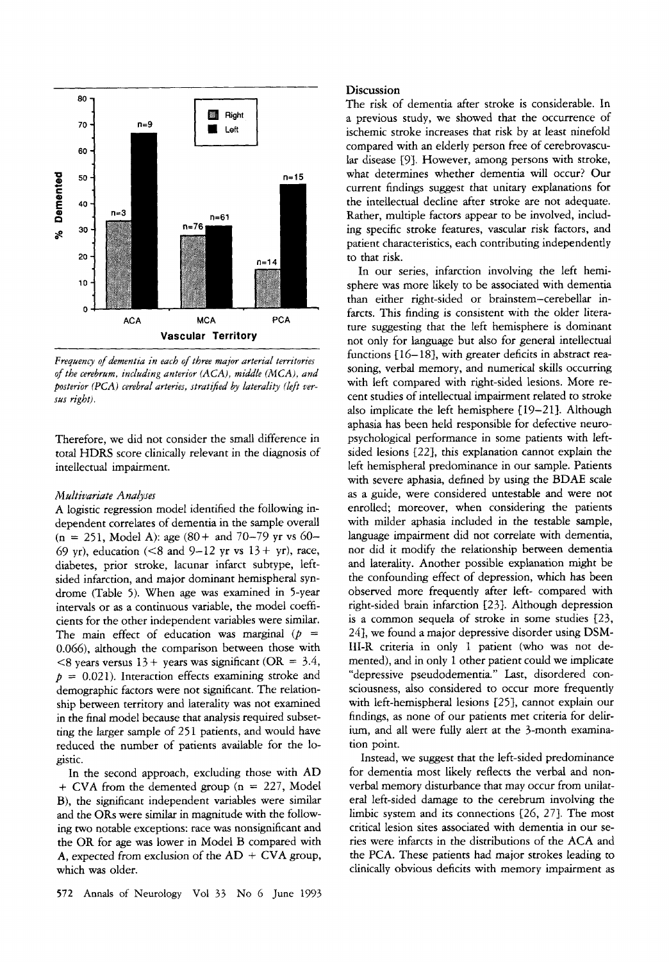

*Freqaency of dementia in each of three major arterial territories of the cerebrum, including anterior* (ACA), *middle (MCA), and posterior* (PCA) cerebral arteries, stratified by laterality (left ver*sus right).* 

Therefore, we did not consider the small difference in total HDRS score clinically relevant in the diagnosis of intellectual impairment.

#### *M dtivariate Analyses*

A logistic regression model identified the following independent correlates of dementia in the sample overall  $(n = 251, Model A)$ : age  $(80 + and 70 - 79)$  yr vs 60-69 yr), education (<8 and 9-12 yr vs  $13 + yr$ ), race, diabetes, prior stroke, lacunar infarct subtype, leftsided infarction, and major dominant hemispheral syndrome (Table 5). When age was examined in 5-year intervals or as a continuous variable, the model coefficients for the other independent variables were similar. The main effect of education was marginal ( $p =$ 0.066), although the comparison between those with  $\leq$ 8 years versus 13 + years was significant (OR = 3.4,  $p = 0.021$ ). Interaction effects examining stroke and demographic factors were not significant. The relationship between territory and laterality was not examined in the final model because that analysis required subsetting the larger sample of 251 patients, and would have reduced the number of patients available for the logistic.

In the second approach, excluding those with AD  $+$  CVA from the demented group ( $n = 227$ , Model B), the significant independent variables were similar and the ORs were similar in magnitude with the following two notable exceptions: race was nonsignificant and the OR for age was lower in Model B compared with A, expected from exclusion of the  $AD + CVA$  group, which was older.

#### **Discussion**

The risk of dementia after stroke is considerable. In a previous study, we showed that the occurrence of ischemic stroke increases that risk by at least ninefold compared with an elderly person free of cerebrovascular disease [9]. However, among persons with stroke, what determines whether dementia will occur? Our current findings suggest that unitary explanations for the intellectual decline after stroke are not adequate. Rather, multiple factors appear to be involved, including specific stroke features, vascular risk factors, and patient characteristics, each contributing independently to that risk.

In our series, infarction involving the left hemisphere was more likely to be associated with dementia than either right-sided or brainstem-cerebellar infarcts. This finding is consistent with the older literature suggesting that the left hemisphere is dominant not only for language but also for general intellectual functions  $[16-18]$ , with greater deficits in abstract reasoning, verbal memory, and numerical skills occurring with left compared with right-sided lesions. More recent studies of intellectual impairment related to stroke also implicate the left hemisphere  $[19-21]$ . Although aphasia **has** been held responsible for defective neuropsychological performance in some patients with leftsided lesions [22], this explanation cannot explain the left hemispheral predominance in our sample. Patients with severe aphasia, defined by using the BDAE scale as a guide, were considered untestable and were not enrolled; moreover, when considering the patients with milder aphasia included in the testable sample, language impairment did not correlate with dementia, nor did it modify the relationship between dementia and laterality. Another possible explanation might be the confounding effect of depression, which has been observed more frequently after left- compared with right-sided brain infarction [23}. Although depression is a common sequela of stroke in some studies [23, *241,* we found a major depressive disorder using DSM-111-R criteria in only 1 patient (who was not demented), and in only 1 other patient could we implicate "depressive pseudodementia." Last, disordered consciousness, also considered to occur more frequently with left-hemispheral lesions *[25],* cannot explain our findings, as none of our patients met criteria for delirium, and all were fully alert at the 3-month examination point.

Instead, we suggest that the left-sided predominance for dementia most likely reflects the verbal and nonverbal memory disturbance that may occur from unilateral left-sided damage to the cerebrum involving the limbic system and its connections 126, 271. The most critical lesion sites associated with dementia in our series were infarcts in the distributions of the ACA and the PCA. These patients had major strokes leading to clinically obvious deficits with memory impairment as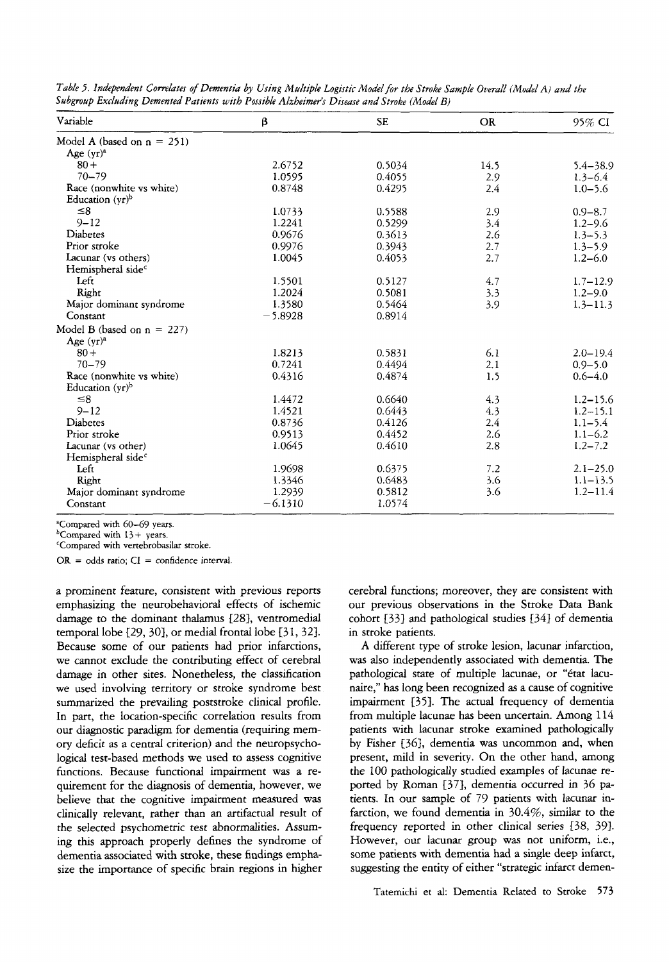| Variable                      | β         | <b>SE</b> | <b>OR</b> | 95% CI       |
|-------------------------------|-----------|-----------|-----------|--------------|
| Model A (based on $n = 251$ ) |           |           |           |              |
| Age $(vr)^4$                  |           |           |           |              |
| $80 +$                        | 2.6752    | 0.5034    | 14.5      | $5.4 - 38.9$ |
| $70 - 79$                     | 1.0595    | 0.4055    | 2.9       | $1.3 - 6.4$  |
| Race (nonwhite vs white)      | 0.8748    | 0.4295    | 2.4       | $1.0 - 5.6$  |
| Education $(yr)^b$            |           |           |           |              |
| $\leq 8$                      | 1.0733    | 0.5588    | 2.9       | $0.9 - 8.7$  |
| $9 - 12$                      | 1.2241    | 0.5299    | 3.4       | $1.2 - 9.6$  |
| Diabetes                      | 0.9676    | 0.3613    | 2.6       | $1.3 - 5.3$  |
| Prior stroke                  | 0.9976    | 0.3943    | 2.7       | $1.3 - 5.9$  |
| Lacunar (vs others)           | 1.0045    | 0.4053    | 2.7       | $1.2 - 6.0$  |
| Hemispheral side <sup>c</sup> |           |           |           |              |
| Left                          | 1.5501    | 0.5127    | 4.7       | $1.7 - 12.9$ |
| Right                         | 1.2024    | 0.5081    | 3.3       | $1.2 - 9.0$  |
| Major dominant syndrome       | 1.3580    | 0.5464    | 3.9       | $1.3 - 11.3$ |
| Constant                      | $-5.8928$ | 0.8914    |           |              |
| Model B (based on $n = 227$ ) |           |           |           |              |
| Age $(yr)^a$                  |           |           |           |              |
| $80 +$                        | 1.8213    | 0.5831    | 6.1       | $2.0 - 19.4$ |
| $70 - 79$                     | 0.7241    | 0.4494    | 2.1       | $0.9 - 5.0$  |
| Race (nonwhite vs white)      | 0.4316    | 0.4874    | 1.5       | $0.6 - 4.0$  |
| Education $(yr)^b$            |           |           |           |              |
| $\leq 8$                      | 1.4472    | 0.6640    | 4.3       | $1.2 - 15.6$ |
| $9 - 12$                      | 1.4521    | 0.6443    | 4.3       | $1.2 - 15.1$ |
| Diabetes                      | 0.8736    | 0.4126    | 2.4       | $1.1 - 5.4$  |
| Prior stroke                  | 0.9513    | 0.4452    | 2.6       | $1.1 - 6.2$  |
| Lacunar (vs other)            | 1.0645    | 0.4610    | 2.8       | $1.2 - 7.2$  |
| Hemispheral side <sup>c</sup> |           |           |           |              |
| Left                          | 1.9698    | 0.6375    | 7.2       | $2.1 - 25.0$ |
| Right                         | 1.3346    | 0.6483    | 3.6       | $1.1 - 13.5$ |
| Major dominant syndrome       | 1.2939    | 0.5812    | 3.6       | $1.2 - 11.4$ |
| Constant                      | $-6.1310$ | 1.0574    |           |              |

*Table 3. Independent Cowekztes* .f *Dementia by Using Multiple Logistic Model for the Stroke Sample Overall (Model A) and the*  Subgroup Excluding Demented Patients with Possible Alzheimer's Disease and Stroke (Model B)

"Compared with 60-69 years.

bCompared **with** 13+ years.

'Compared with venebrobasilar stroke.

 $OR = odds ratio$ ;  $CI = confidence interval$ .

a prominent feature, consistent with previous reports emphasizing the neurobehavioral effects of ischemic damage to the dominant thalamus *{28),* ventromedial temporal lobe  $[29, 30]$ , or medial frontal lobe  $[31, 32]$ . Because some of our patients had prior infarctions, we cannot exclude the contributing effect of cerebral damage in other sites. Nonetheless, the classification we used involving territory or stroke syndrome best summarized the prevailing poststroke clinical profile. In part, the location-specific correlation results from our diagnostic paradigm for dementia (requiring memory deficit **as** a central criterion) and the neuropsychological test-based methods we used to assess cognitive functions. Because functional impairment was a requirement for the diagnosis of dementia, however, we believe that the cognitive impairment measured **was**  clinically relevant, rather than **an** artifactual result of the selected psychometric test abnormalities. **Assum**ing this approach properly defines the syndrome of dementia associated with stroke, these findings emphasize the importance of specific brain regions in higher cerebral functions; moreover, they are consistent with our previous observations in the Stroke Data Bank cohort 1331 and pathological studies *{347* of dementia in stroke patients.

**A** different type of stroke lesion, lacunar infarction, was also independently associated with dementia. The pathological state of multiple lacunae, or "état lacunaire," has long been recognized **as** a cause of cognitive impairment [35]. The actual frequency of dementia from multiple lacunae has been uncertain. Among 114 patients with lacunar stroke examined pathologically by Fisher *[36},* dementia was uncommon and, when present, mild in severity. On the other hand, among the 100 pathologically studied examples of lacunae reported by Roman [37], dementia occurred in 36 patients. In our sample of *79* patients with lacunar infarction, we found dementia in *30.4%,* similar to the frequency reported in other clinical series [38, 39]. However, our lacunar group **was** not uniform, i.e., some patients with dementia had a single deep infarct, suggesting the entity of either "strategic infarct demen-

Tatemichi et **al:** Dementia Related to Stroke **573**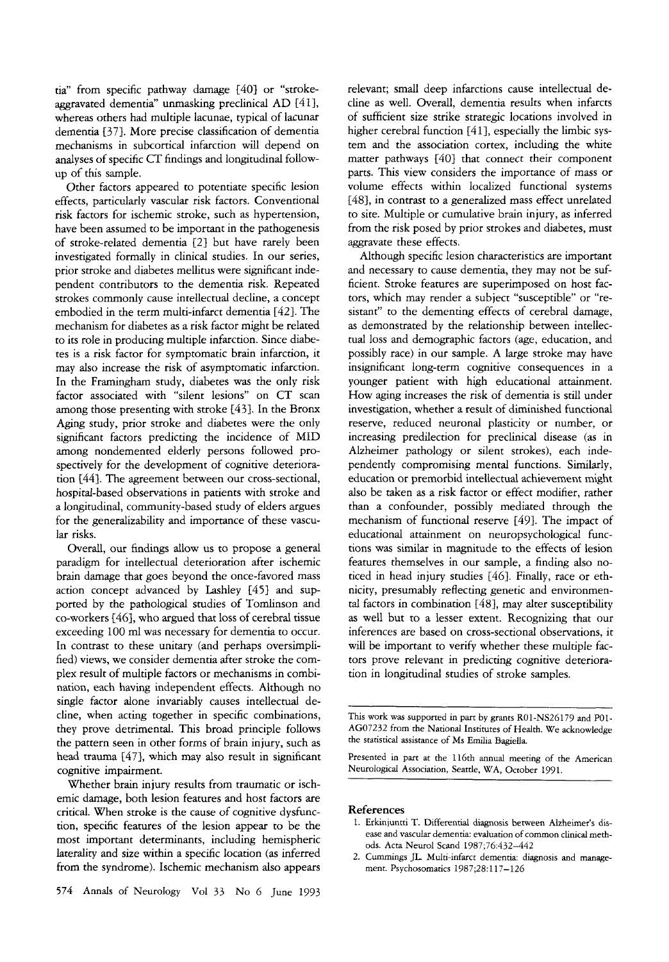tia" from specific pathway damage *[4Of* or "strokeaggravated dementia" unmasking preclinical AD *14* **11,**  whereas others had multiple lacunae, typical of lacunar dementia *1371.* More precise classification of dementia mechanisms in subcortical infarction will depend on analyses of specific CT findings and longitudinal followup of this sample.

Other factors appeared to potentiate specific lesion effects, particularly vascular risk factors. Conventional risk factors for ischemic stroke, such as hypertension, have been assumed to be important in the pathogenesis of stroke-related dementia [27 but have rarely been investigated formally in clinical studies. In our series, prior stroke and diabetes mellitus were significant independent contributors to the dementia risk. Repeated strokes commonly cause intellectual decline, a concept embodied in the term multi-infarct dementia *[421.* The mechanism for diabetes as a risk factor might be related to its role in producing multiple infarction. Since diabetes is a risk factor for symptomatic brain infarction, it may also increase the risk of asymptomatic infarction. In the Framingham study, diabetes was the only risk factor associated with "silent lesions" on CT scan among those presenting with stroke *[431.* In the Bronx Aging study, prior stroke and diabetes were the only significant factors predicting the incidence of MID among nondemented elderly persons followed prospectively for the development of cognitive deterioration [44]. The agreement between our cross-sectional, hospital-based observations in patients with stroke and a longitudinal, community-based study of elders argues for the generalizability and importance of these vascular risks.

Overall, our findings allow us to propose a general paradigm for intellectual deterioration after ischemic brain damage that goes beyond the once-favored mass action concept advanced by Lashley *1451* and supported by the pathological studies of Tomlinson and co-workers *1461,* who argued that loss of cerebral tissue exceeding 100 ml was necessary for dementia to occur. In contrast to these unitary (and perhaps oversimplified) views, we consider dementia after stroke the complex result of multiple factors or mechanisms in combination, each having independent effects. Although no single factor alone invariably causes intellectual decline, when acting together in specific combinations, they prove detrimental. This broad principle follows the pattern seen in other forms of brain injury, such as head trauma [47], which may also result in significant cognitive impairment.

Whether brain injury results from traumatic or ischemic damage, both lesion features and host factors are critical. When stroke is the cause of cognitive dysfunction, specific features of the lesion appear to be the most important determinants, including hemispheric laterality and size within a specific location (as inferred from the syndrome). Ischemic mechanism also appears relevant; small deep infarctions cause intellectual decline as well. Overall, dementia results when infarcts of sufficient size strike strategic locations involved in higher cerebral function [41], especially the limbic system and the association cortex, including the white matter pathways *[40)* that connect their component parts. This view considers the importance of mass or volume effects within localized functional systems [48], in contrast to a generalized mass effect unrelated to site. Multiple or cumulative brain injury, as inferred from the risk posed by prior strokes and diabetes, must aggravate these effects.

Although specific lesion characteristics are important and necessary to cause dementia, they may not be sufficient. Stroke features are superimposed on host factors, which may render a subject "susceptible" or "resistant'' to the dementing effects of cerebral damage, as demonstrated by the relationship between intellectual loss and demographic factors (age, education, and possibly race) in our sample. A large stroke may have insignificant long-term cognitive consequences in a younger patient with high educational attainment. How aging increases the risk of dementia is still under investigation, whether a result of diminished functional reserve, reduced neuronal plasticity or number, or increasing predilection for preclinical disease (as in Alzheimer pathology or silent strokes), each independently compromising mental functions. Similarly, education or premorbid intellectual achievement might also be taken as a risk factor or effect modifier, rather than a confounder, possibly mediated through the mechanism of functional reserve *[491.* The impact of educational attainment on neuropsychological functions was similar in magnitude to the effects of lesion features themselves in our sample, a finding also noticed in head injury studies *1461.* Finally, race or ethnicity, presumably reflecting genetic and environmental factors in combination *1487,* may alter susceptibility as well but to a lesser extent. Recognizing that our inferences are based on cross-sectional observations, it will be important to verify whether these multiple factors prove relevant in predicting cognitive deterioration in longitudinal studies of stroke samples.

This work was supported in part by grants RO1-NS26179 and PO1- AGO7232 from the National Institutes of Health. We acknowledge the statistical assistance of Ms Emilia Bagiella.

~~ ~~~

Presented in **part** at the 116th annual meeting of the American Neurological Association, Seattle, WA, October 1991.

## **References**

- 1. Erkinjuntti T. Differential diagnosis between Alzheimer's disease and vascular dementia: evaluation of common clinical methods. Acta Neurol Scand 1987;76:432-442
- 2. Cummings JL. Multi-infarct dementia: diagnosis and management. Psychosomatics 1987;28:117-126